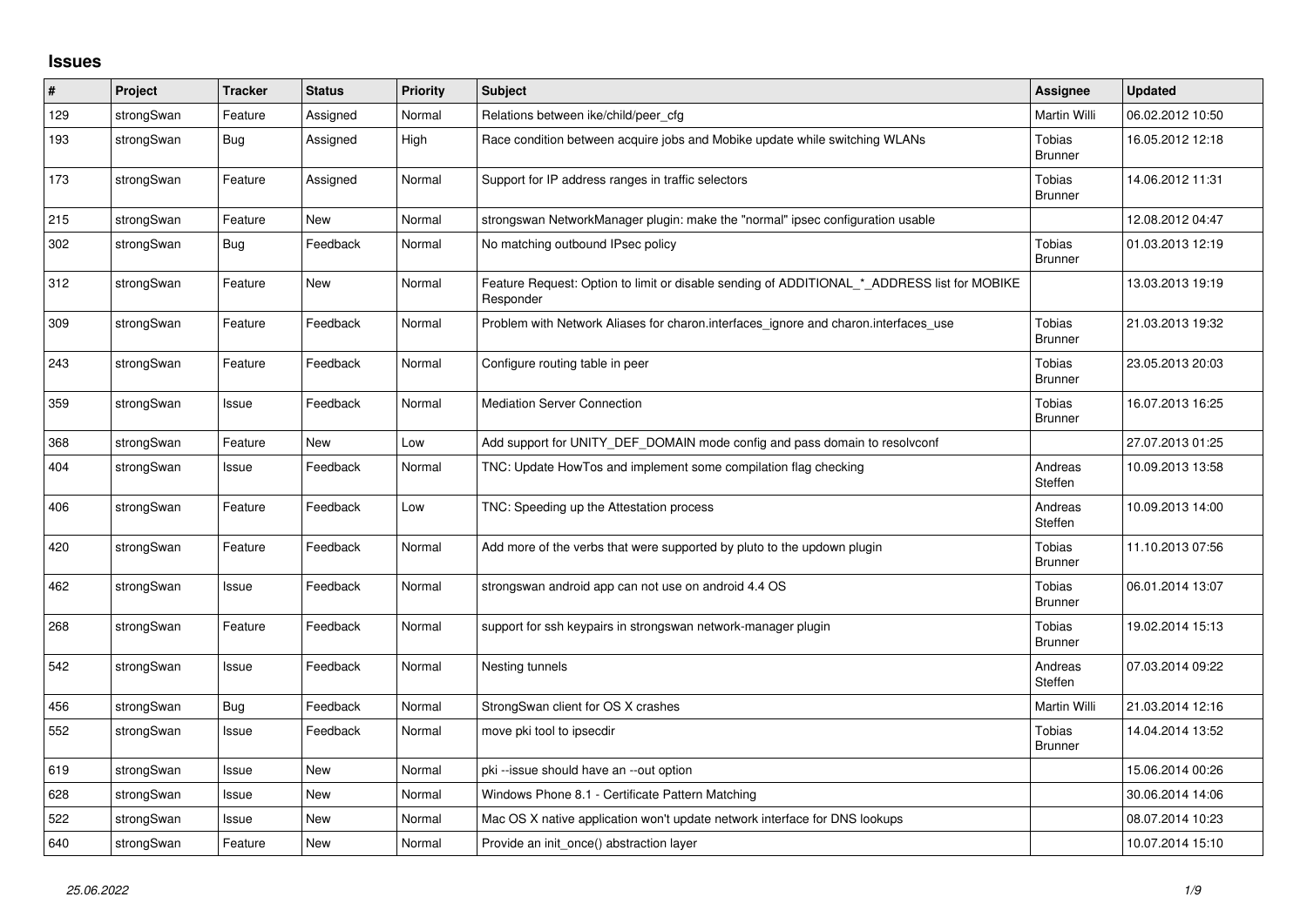## **Issues**

| $\#$ | Project    | <b>Tracker</b> | <b>Status</b> | <b>Priority</b> | <b>Subject</b>                                                                                           | Assignee                        | <b>Updated</b>   |
|------|------------|----------------|---------------|-----------------|----------------------------------------------------------------------------------------------------------|---------------------------------|------------------|
| 129  | strongSwan | Feature        | Assigned      | Normal          | Relations between ike/child/peer cfg                                                                     | Martin Willi                    | 06.02.2012 10:50 |
| 193  | strongSwan | Bug            | Assigned      | High            | Race condition between acquire jobs and Mobike update while switching WLANs                              | <b>Tobias</b><br><b>Brunner</b> | 16.05.2012 12:18 |
| 173  | strongSwan | Feature        | Assigned      | Normal          | Support for IP address ranges in traffic selectors                                                       | Tobias<br><b>Brunner</b>        | 14.06.2012 11:31 |
| 215  | strongSwan | Feature        | <b>New</b>    | Normal          | strongswan NetworkManager plugin: make the "normal" ipsec configuration usable                           |                                 | 12.08.2012 04:47 |
| 302  | strongSwan | Bug            | Feedback      | Normal          | No matching outbound IPsec policy                                                                        | Tobias<br><b>Brunner</b>        | 01.03.2013 12:19 |
| 312  | strongSwan | Feature        | <b>New</b>    | Normal          | Feature Request: Option to limit or disable sending of ADDITIONAL_*_ADDRESS list for MOBIKE<br>Responder |                                 | 13.03.2013 19:19 |
| 309  | strongSwan | Feature        | Feedback      | Normal          | Problem with Network Aliases for charon.interfaces_ignore and charon.interfaces_use                      | Tobias<br><b>Brunner</b>        | 21.03.2013 19:32 |
| 243  | strongSwan | Feature        | Feedback      | Normal          | Configure routing table in peer                                                                          | Tobias<br><b>Brunner</b>        | 23.05.2013 20:03 |
| 359  | strongSwan | Issue          | Feedback      | Normal          | <b>Mediation Server Connection</b>                                                                       | Tobias<br><b>Brunner</b>        | 16.07.2013 16:25 |
| 368  | strongSwan | Feature        | <b>New</b>    | Low             | Add support for UNITY_DEF_DOMAIN mode config and pass domain to resolvconf                               |                                 | 27.07.2013 01:25 |
| 404  | strongSwan | Issue          | Feedback      | Normal          | TNC: Update HowTos and implement some compilation flag checking                                          | Andreas<br>Steffen              | 10.09.2013 13:58 |
| 406  | strongSwan | Feature        | Feedback      | Low             | TNC: Speeding up the Attestation process                                                                 | Andreas<br>Steffen              | 10.09.2013 14:00 |
| 420  | strongSwan | Feature        | Feedback      | Normal          | Add more of the verbs that were supported by pluto to the updown plugin                                  | Tobias<br><b>Brunner</b>        | 11.10.2013 07:56 |
| 462  | strongSwan | Issue          | Feedback      | Normal          | strongswan android app can not use on android 4.4 OS                                                     | Tobias<br><b>Brunner</b>        | 06.01.2014 13:07 |
| 268  | strongSwan | Feature        | Feedback      | Normal          | support for ssh keypairs in strongswan network-manager plugin                                            | Tobias<br><b>Brunner</b>        | 19.02.2014 15:13 |
| 542  | strongSwan | Issue          | Feedback      | Normal          | Nesting tunnels                                                                                          | Andreas<br>Steffen              | 07.03.2014 09:22 |
| 456  | strongSwan | <b>Bug</b>     | Feedback      | Normal          | StrongSwan client for OS X crashes                                                                       | Martin Willi                    | 21.03.2014 12:16 |
| 552  | strongSwan | Issue          | Feedback      | Normal          | move pki tool to ipsecdir                                                                                | <b>Tobias</b><br><b>Brunner</b> | 14.04.2014 13:52 |
| 619  | strongSwan | Issue          | <b>New</b>    | Normal          | pki-issue should have an --out option                                                                    |                                 | 15.06.2014 00:26 |
| 628  | strongSwan | Issue          | <b>New</b>    | Normal          | Windows Phone 8.1 - Certificate Pattern Matching                                                         |                                 | 30.06.2014 14:06 |
| 522  | strongSwan | Issue          | New           | Normal          | Mac OS X native application won't update network interface for DNS lookups                               |                                 | 08.07.2014 10:23 |
| 640  | strongSwan | Feature        | <b>New</b>    | Normal          | Provide an init_once() abstraction layer                                                                 |                                 | 10.07.2014 15:10 |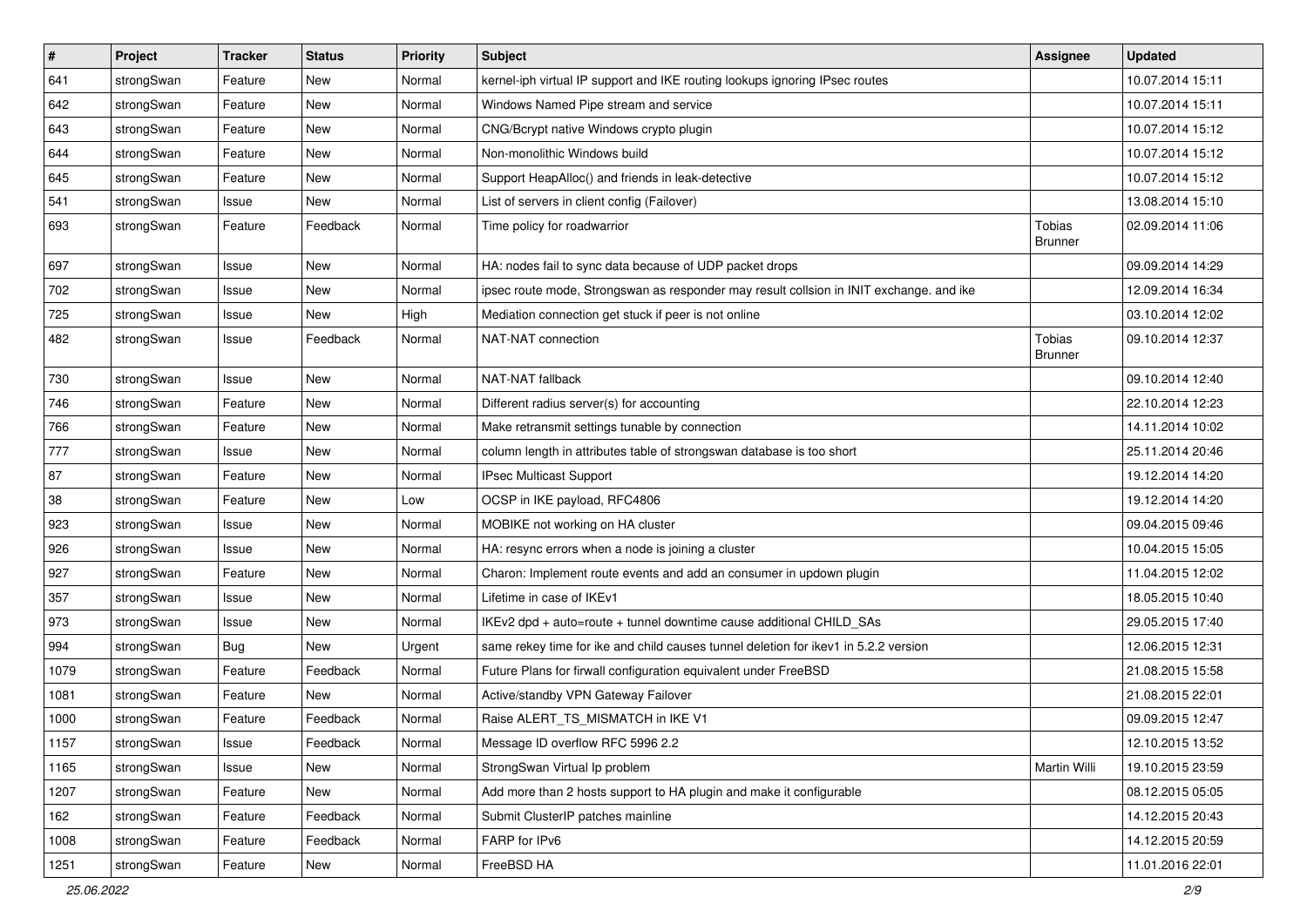| $\vert$ # | Project    | <b>Tracker</b> | <b>Status</b> | <b>Priority</b> | Subject                                                                                 | <b>Assignee</b>                 | <b>Updated</b>   |
|-----------|------------|----------------|---------------|-----------------|-----------------------------------------------------------------------------------------|---------------------------------|------------------|
| 641       | strongSwan | Feature        | New           | Normal          | kernel-iph virtual IP support and IKE routing lookups ignoring IPsec routes             |                                 | 10.07.2014 15:11 |
| 642       | strongSwan | Feature        | New           | Normal          | Windows Named Pipe stream and service                                                   |                                 | 10.07.2014 15:11 |
| 643       | strongSwan | Feature        | <b>New</b>    | Normal          | CNG/Bcrypt native Windows crypto plugin                                                 |                                 | 10.07.2014 15:12 |
| 644       | strongSwan | Feature        | New           | Normal          | Non-monolithic Windows build                                                            |                                 | 10.07.2014 15:12 |
| 645       | strongSwan | Feature        | New           | Normal          | Support HeapAlloc() and friends in leak-detective                                       |                                 | 10.07.2014 15:12 |
| 541       | strongSwan | Issue          | New           | Normal          | List of servers in client config (Failover)                                             |                                 | 13.08.2014 15:10 |
| 693       | strongSwan | Feature        | Feedback      | Normal          | Time policy for roadwarrior                                                             | Tobias<br><b>Brunner</b>        | 02.09.2014 11:06 |
| 697       | strongSwan | Issue          | <b>New</b>    | Normal          | HA: nodes fail to sync data because of UDP packet drops                                 |                                 | 09.09.2014 14:29 |
| 702       | strongSwan | Issue          | <b>New</b>    | Normal          | ipsec route mode, Strongswan as responder may result collsion in INIT exchange. and ike |                                 | 12.09.2014 16:34 |
| 725       | strongSwan | Issue          | <b>New</b>    | High            | Mediation connection get stuck if peer is not online                                    |                                 | 03.10.2014 12:02 |
| 482       | strongSwan | Issue          | Feedback      | Normal          | NAT-NAT connection                                                                      | <b>Tobias</b><br><b>Brunner</b> | 09.10.2014 12:37 |
| 730       | strongSwan | Issue          | <b>New</b>    | Normal          | NAT-NAT fallback                                                                        |                                 | 09.10.2014 12:40 |
| 746       | strongSwan | Feature        | <b>New</b>    | Normal          | Different radius server(s) for accounting                                               |                                 | 22.10.2014 12:23 |
| 766       | strongSwan | Feature        | New           | Normal          | Make retransmit settings tunable by connection                                          |                                 | 14.11.2014 10:02 |
| 777       | strongSwan | Issue          | New           | Normal          | column length in attributes table of strongswan database is too short                   |                                 | 25.11.2014 20:46 |
| 87        | strongSwan | Feature        | New           | Normal          | <b>IPsec Multicast Support</b>                                                          |                                 | 19.12.2014 14:20 |
| 38        | strongSwan | Feature        | New           | Low             | OCSP in IKE payload, RFC4806                                                            |                                 | 19.12.2014 14:20 |
| 923       | strongSwan | Issue          | New           | Normal          | MOBIKE not working on HA cluster                                                        |                                 | 09.04.2015 09:46 |
| 926       | strongSwan | Issue          | <b>New</b>    | Normal          | HA: resync errors when a node is joining a cluster                                      |                                 | 10.04.2015 15:05 |
| 927       | strongSwan | Feature        | <b>New</b>    | Normal          | Charon: Implement route events and add an consumer in updown plugin                     |                                 | 11.04.2015 12:02 |
| 357       | strongSwan | Issue          | New           | Normal          | Lifetime in case of IKEv1                                                               |                                 | 18.05.2015 10:40 |
| 973       | strongSwan | Issue          | <b>New</b>    | Normal          | IKEv2 dpd + auto=route + tunnel downtime cause additional CHILD_SAs                     |                                 | 29.05.2015 17:40 |
| 994       | strongSwan | <b>Bug</b>     | New           | Urgent          | same rekey time for ike and child causes tunnel deletion for ikev1 in 5.2.2 version     |                                 | 12.06.2015 12:31 |
| 1079      | strongSwan | Feature        | Feedback      | Normal          | Future Plans for firwall configuration equivalent under FreeBSD                         |                                 | 21.08.2015 15:58 |
| 1081      | strongSwan | Feature        | New           | Normal          | Active/standby VPN Gateway Failover                                                     |                                 | 21.08.2015 22:01 |
| 1000      | strongSwan | Feature        | Feedback      | Normal          | Raise ALERT_TS_MISMATCH in IKE V1                                                       |                                 | 09.09.2015 12:47 |
| 1157      | strongSwan | Issue          | Feedback      | Normal          | Message ID overflow RFC 5996 2.2                                                        |                                 | 12.10.2015 13:52 |
| 1165      | strongSwan | Issue          | <b>New</b>    | Normal          | StrongSwan Virtual Ip problem                                                           | Martin Willi                    | 19.10.2015 23:59 |
| 1207      | strongSwan | Feature        | New           | Normal          | Add more than 2 hosts support to HA plugin and make it configurable                     |                                 | 08.12.2015 05:05 |
| 162       | strongSwan | Feature        | Feedback      | Normal          | Submit ClusterIP patches mainline                                                       |                                 | 14.12.2015 20:43 |
| 1008      | strongSwan | Feature        | Feedback      | Normal          | FARP for IPv6                                                                           |                                 | 14.12.2015 20:59 |
| 1251      | strongSwan | Feature        | New           | Normal          | FreeBSD HA                                                                              |                                 | 11.01.2016 22:01 |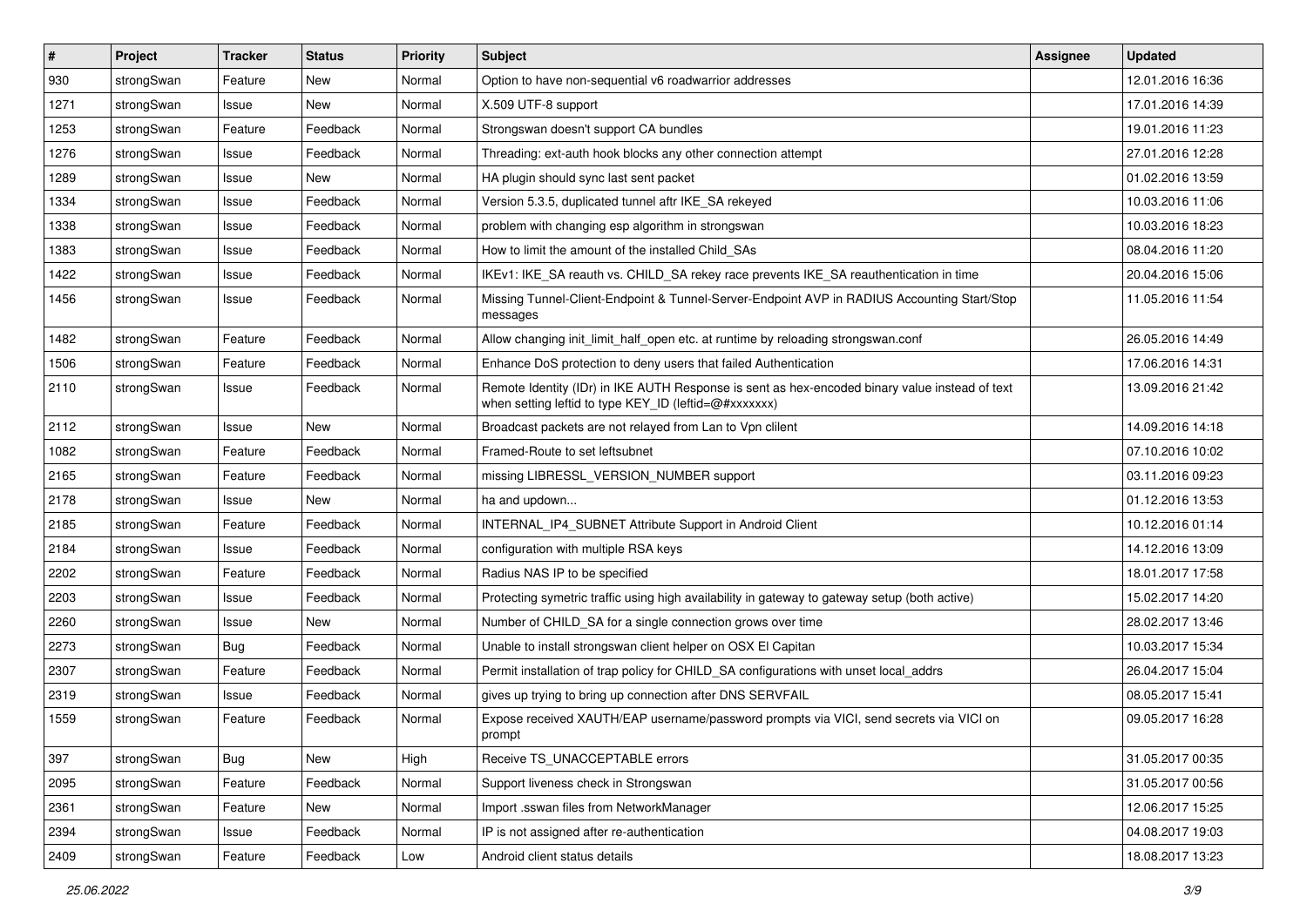| #    | Project    | <b>Tracker</b> | <b>Status</b> | <b>Priority</b> | <b>Subject</b>                                                                                                                                          | <b>Assignee</b> | <b>Updated</b>   |
|------|------------|----------------|---------------|-----------------|---------------------------------------------------------------------------------------------------------------------------------------------------------|-----------------|------------------|
| 930  | strongSwan | Feature        | New           | Normal          | Option to have non-sequential v6 roadwarrior addresses                                                                                                  |                 | 12.01.2016 16:36 |
| 1271 | strongSwan | Issue          | <b>New</b>    | Normal          | X.509 UTF-8 support                                                                                                                                     |                 | 17.01.2016 14:39 |
| 1253 | strongSwan | Feature        | Feedback      | Normal          | Strongswan doesn't support CA bundles                                                                                                                   |                 | 19.01.2016 11:23 |
| 1276 | strongSwan | Issue          | Feedback      | Normal          | Threading: ext-auth hook blocks any other connection attempt                                                                                            |                 | 27.01.2016 12:28 |
| 1289 | strongSwan | Issue          | New           | Normal          | HA plugin should sync last sent packet                                                                                                                  |                 | 01.02.2016 13:59 |
| 1334 | strongSwan | Issue          | Feedback      | Normal          | Version 5.3.5, duplicated tunnel aftr IKE SA rekeyed                                                                                                    |                 | 10.03.2016 11:06 |
| 1338 | strongSwan | Issue          | Feedback      | Normal          | problem with changing esp algorithm in strongswan                                                                                                       |                 | 10.03.2016 18:23 |
| 1383 | strongSwan | Issue          | Feedback      | Normal          | How to limit the amount of the installed Child_SAs                                                                                                      |                 | 08.04.2016 11:20 |
| 1422 | strongSwan | Issue          | Feedback      | Normal          | IKEv1: IKE_SA reauth vs. CHILD_SA rekey race prevents IKE_SA reauthentication in time                                                                   |                 | 20.04.2016 15:06 |
| 1456 | strongSwan | Issue          | Feedback      | Normal          | Missing Tunnel-Client-Endpoint & Tunnel-Server-Endpoint AVP in RADIUS Accounting Start/Stop<br>messages                                                 |                 | 11.05.2016 11:54 |
| 1482 | strongSwan | Feature        | Feedback      | Normal          | Allow changing init limit half open etc. at runtime by reloading strongswan.conf                                                                        |                 | 26.05.2016 14:49 |
| 1506 | strongSwan | Feature        | Feedback      | Normal          | Enhance DoS protection to deny users that failed Authentication                                                                                         |                 | 17.06.2016 14:31 |
| 2110 | strongSwan | Issue          | Feedback      | Normal          | Remote Identity (IDr) in IKE AUTH Response is sent as hex-encoded binary value instead of text<br>when setting leftid to type KEY_ID (leftid=@#xxxxxxx) |                 | 13.09.2016 21:42 |
| 2112 | strongSwan | Issue          | New           | Normal          | Broadcast packets are not relayed from Lan to Vpn clilent                                                                                               |                 | 14.09.2016 14:18 |
| 1082 | strongSwan | Feature        | Feedback      | Normal          | Framed-Route to set leftsubnet                                                                                                                          |                 | 07.10.2016 10:02 |
| 2165 | strongSwan | Feature        | Feedback      | Normal          | missing LIBRESSL_VERSION_NUMBER support                                                                                                                 |                 | 03.11.2016 09:23 |
| 2178 | strongSwan | Issue          | New           | Normal          | ha and updown                                                                                                                                           |                 | 01.12.2016 13:53 |
| 2185 | strongSwan | Feature        | Feedback      | Normal          | INTERNAL_IP4_SUBNET Attribute Support in Android Client                                                                                                 |                 | 10.12.2016 01:14 |
| 2184 | strongSwan | Issue          | Feedback      | Normal          | configuration with multiple RSA keys                                                                                                                    |                 | 14.12.2016 13:09 |
| 2202 | strongSwan | Feature        | Feedback      | Normal          | Radius NAS IP to be specified                                                                                                                           |                 | 18.01.2017 17:58 |
| 2203 | strongSwan | Issue          | Feedback      | Normal          | Protecting symetric traffic using high availability in gateway to gateway setup (both active)                                                           |                 | 15.02.2017 14:20 |
| 2260 | strongSwan | Issue          | New           | Normal          | Number of CHILD_SA for a single connection grows over time                                                                                              |                 | 28.02.2017 13:46 |
| 2273 | strongSwan | Bug            | Feedback      | Normal          | Unable to install strongswan client helper on OSX El Capitan                                                                                            |                 | 10.03.2017 15:34 |
| 2307 | strongSwan | Feature        | Feedback      | Normal          | Permit installation of trap policy for CHILD_SA configurations with unset local_addrs                                                                   |                 | 26.04.2017 15:04 |
| 2319 | strongSwan | Issue          | Feedback      | Normal          | gives up trying to bring up connection after DNS SERVFAIL                                                                                               |                 | 08.05.2017 15:41 |
| 1559 | strongSwan | Feature        | Feedback      | Normal          | Expose received XAUTH/EAP username/password prompts via VICI, send secrets via VICI on<br>prompt                                                        |                 | 09.05.2017 16:28 |
| 397  | strongSwan | Bug            | New           | High            | Receive TS_UNACCEPTABLE errors                                                                                                                          |                 | 31.05.2017 00:35 |
| 2095 | strongSwan | Feature        | Feedback      | Normal          | Support liveness check in Strongswan                                                                                                                    |                 | 31.05.2017 00:56 |
| 2361 | strongSwan | Feature        | New           | Normal          | Import .sswan files from NetworkManager                                                                                                                 |                 | 12.06.2017 15:25 |
| 2394 | strongSwan | Issue          | Feedback      | Normal          | IP is not assigned after re-authentication                                                                                                              |                 | 04.08.2017 19:03 |
| 2409 | strongSwan | Feature        | Feedback      | Low             | Android client status details                                                                                                                           |                 | 18.08.2017 13:23 |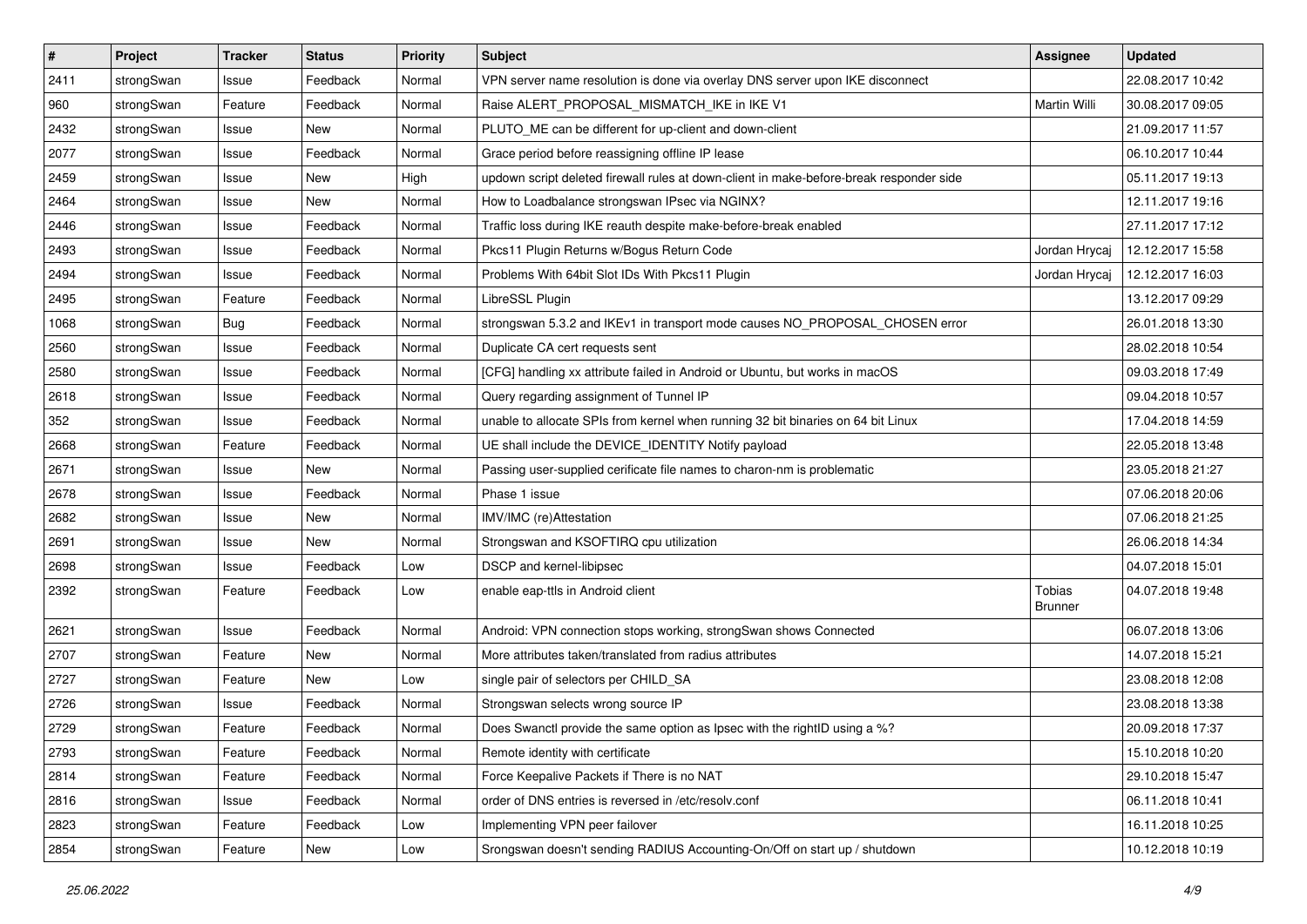| $\sharp$ | Project    | <b>Tracker</b> | <b>Status</b> | <b>Priority</b> | <b>Subject</b>                                                                          | Assignee                 | <b>Updated</b>   |
|----------|------------|----------------|---------------|-----------------|-----------------------------------------------------------------------------------------|--------------------------|------------------|
| 2411     | strongSwan | Issue          | Feedback      | Normal          | VPN server name resolution is done via overlay DNS server upon IKE disconnect           |                          | 22.08.2017 10:42 |
| 960      | strongSwan | Feature        | Feedback      | Normal          | Raise ALERT_PROPOSAL_MISMATCH_IKE in IKE V1                                             | Martin Willi             | 30.08.2017 09:05 |
| 2432     | strongSwan | Issue          | New           | Normal          | PLUTO ME can be different for up-client and down-client                                 |                          | 21.09.2017 11:57 |
| 2077     | strongSwan | Issue          | Feedback      | Normal          | Grace period before reassigning offline IP lease                                        |                          | 06.10.2017 10:44 |
| 2459     | strongSwan | Issue          | <b>New</b>    | High            | updown script deleted firewall rules at down-client in make-before-break responder side |                          | 05.11.2017 19:13 |
| 2464     | strongSwan | Issue          | New           | Normal          | How to Loadbalance strongswan IPsec via NGINX?                                          |                          | 12.11.2017 19:16 |
| 2446     | strongSwan | Issue          | Feedback      | Normal          | Traffic loss during IKE reauth despite make-before-break enabled                        |                          | 27.11.2017 17:12 |
| 2493     | strongSwan | Issue          | Feedback      | Normal          | Pkcs11 Plugin Returns w/Bogus Return Code                                               | Jordan Hrycaj            | 12.12.2017 15:58 |
| 2494     | strongSwan | Issue          | Feedback      | Normal          | Problems With 64bit Slot IDs With Pkcs11 Plugin                                         | Jordan Hrycaj            | 12.12.2017 16:03 |
| 2495     | strongSwan | Feature        | Feedback      | Normal          | LibreSSL Plugin                                                                         |                          | 13.12.2017 09:29 |
| 1068     | strongSwan | <b>Bug</b>     | Feedback      | Normal          | strongswan 5.3.2 and IKEv1 in transport mode causes NO_PROPOSAL_CHOSEN error            |                          | 26.01.2018 13:30 |
| 2560     | strongSwan | Issue          | Feedback      | Normal          | Duplicate CA cert requests sent                                                         |                          | 28.02.2018 10:54 |
| 2580     | strongSwan | Issue          | Feedback      | Normal          | [CFG] handling xx attribute failed in Android or Ubuntu, but works in macOS             |                          | 09.03.2018 17:49 |
| 2618     | strongSwan | Issue          | Feedback      | Normal          | Query regarding assignment of Tunnel IP                                                 |                          | 09.04.2018 10:57 |
| 352      | strongSwan | Issue          | Feedback      | Normal          | unable to allocate SPIs from kernel when running 32 bit binaries on 64 bit Linux        |                          | 17.04.2018 14:59 |
| 2668     | strongSwan | Feature        | Feedback      | Normal          | UE shall include the DEVICE_IDENTITY Notify payload                                     |                          | 22.05.2018 13:48 |
| 2671     | strongSwan | Issue          | New           | Normal          | Passing user-supplied cerificate file names to charon-nm is problematic                 |                          | 23.05.2018 21:27 |
| 2678     | strongSwan | Issue          | Feedback      | Normal          | Phase 1 issue                                                                           |                          | 07.06.2018 20:06 |
| 2682     | strongSwan | Issue          | New           | Normal          | IMV/IMC (re)Attestation                                                                 |                          | 07.06.2018 21:25 |
| 2691     | strongSwan | Issue          | New           | Normal          | Strongswan and KSOFTIRQ cpu utilization                                                 |                          | 26.06.2018 14:34 |
| 2698     | strongSwan | Issue          | Feedback      | Low             | DSCP and kernel-libipsec                                                                |                          | 04.07.2018 15:01 |
| 2392     | strongSwan | Feature        | Feedback      | Low             | enable eap-ttls in Android client                                                       | Tobias<br><b>Brunner</b> | 04.07.2018 19:48 |
| 2621     | strongSwan | Issue          | Feedback      | Normal          | Android: VPN connection stops working, strongSwan shows Connected                       |                          | 06.07.2018 13:06 |
| 2707     | strongSwan | Feature        | New           | Normal          | More attributes taken/translated from radius attributes                                 |                          | 14.07.2018 15:21 |
| 2727     | strongSwan | Feature        | <b>New</b>    | Low             | single pair of selectors per CHILD_SA                                                   |                          | 23.08.2018 12:08 |
| 2726     | strongSwan | Issue          | Feedback      | Normal          | Strongswan selects wrong source IP                                                      |                          | 23.08.2018 13:38 |
| 2729     | strongSwan | Feature        | Feedback      | Normal          | Does Swanctl provide the same option as Ipsec with the rightID using a %?               |                          | 20.09.2018 17:37 |
| 2793     | strongSwan | Feature        | Feedback      | Normal          | Remote identity with certificate                                                        |                          | 15.10.2018 10:20 |
| 2814     | strongSwan | Feature        | Feedback      | Normal          | Force Keepalive Packets if There is no NAT                                              |                          | 29.10.2018 15:47 |
| 2816     | strongSwan | Issue          | Feedback      | Normal          | order of DNS entries is reversed in /etc/resolv.conf                                    |                          | 06.11.2018 10:41 |
| 2823     | strongSwan | Feature        | Feedback      | Low             | Implementing VPN peer failover                                                          |                          | 16.11.2018 10:25 |
| 2854     | strongSwan | Feature        | New           | Low             | Srongswan doesn't sending RADIUS Accounting-On/Off on start up / shutdown               |                          | 10.12.2018 10:19 |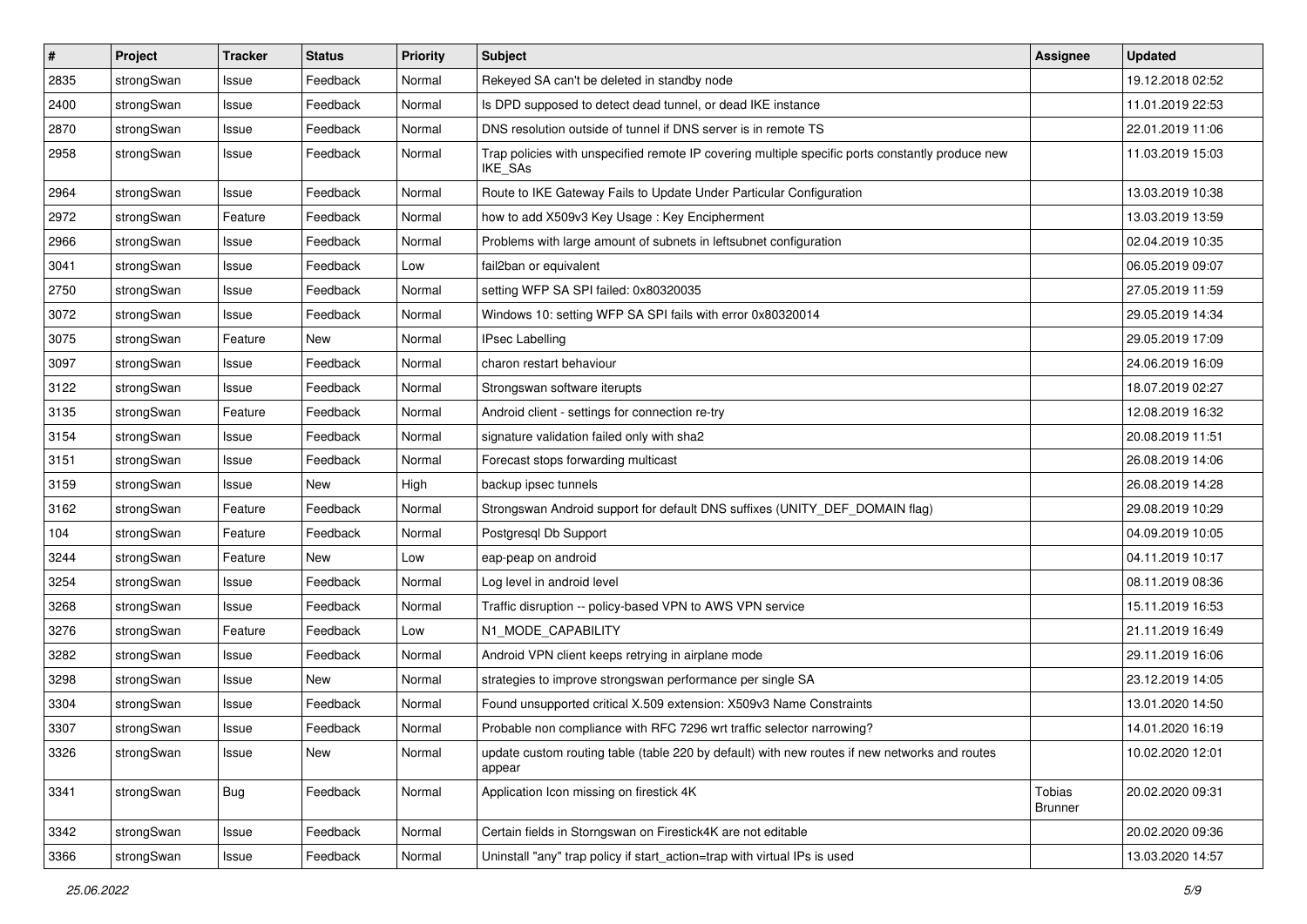| $\vert$ # | Project    | <b>Tracker</b> | <b>Status</b> | <b>Priority</b> | Subject                                                                                                            | <b>Assignee</b>          | <b>Updated</b>   |
|-----------|------------|----------------|---------------|-----------------|--------------------------------------------------------------------------------------------------------------------|--------------------------|------------------|
| 2835      | strongSwan | Issue          | Feedback      | Normal          | Rekeyed SA can't be deleted in standby node                                                                        |                          | 19.12.2018 02:52 |
| 2400      | strongSwan | Issue          | Feedback      | Normal          | Is DPD supposed to detect dead tunnel, or dead IKE instance                                                        |                          | 11.01.2019 22:53 |
| 2870      | strongSwan | Issue          | Feedback      | Normal          | DNS resolution outside of tunnel if DNS server is in remote TS                                                     |                          | 22.01.2019 11:06 |
| 2958      | strongSwan | Issue          | Feedback      | Normal          | Trap policies with unspecified remote IP covering multiple specific ports constantly produce new<br><b>IKE SAs</b> |                          | 11.03.2019 15:03 |
| 2964      | strongSwan | Issue          | Feedback      | Normal          | Route to IKE Gateway Fails to Update Under Particular Configuration                                                |                          | 13.03.2019 10:38 |
| 2972      | strongSwan | Feature        | Feedback      | Normal          | how to add X509v3 Key Usage: Key Encipherment                                                                      |                          | 13.03.2019 13:59 |
| 2966      | strongSwan | Issue          | Feedback      | Normal          | Problems with large amount of subnets in leftsubnet configuration                                                  |                          | 02.04.2019 10:35 |
| 3041      | strongSwan | Issue          | Feedback      | Low             | fail2ban or equivalent                                                                                             |                          | 06.05.2019 09:07 |
| 2750      | strongSwan | Issue          | Feedback      | Normal          | setting WFP SA SPI failed: 0x80320035                                                                              |                          | 27.05.2019 11:59 |
| 3072      | strongSwan | Issue          | Feedback      | Normal          | Windows 10: setting WFP SA SPI fails with error 0x80320014                                                         |                          | 29.05.2019 14:34 |
| 3075      | strongSwan | Feature        | New           | Normal          | <b>IPsec Labelling</b>                                                                                             |                          | 29.05.2019 17:09 |
| 3097      | strongSwan | Issue          | Feedback      | Normal          | charon restart behaviour                                                                                           |                          | 24.06.2019 16:09 |
| 3122      | strongSwan | Issue          | Feedback      | Normal          | Strongswan software iterupts                                                                                       |                          | 18.07.2019 02:27 |
| 3135      | strongSwan | Feature        | Feedback      | Normal          | Android client - settings for connection re-try                                                                    |                          | 12.08.2019 16:32 |
| 3154      | strongSwan | Issue          | Feedback      | Normal          | signature validation failed only with sha2                                                                         |                          | 20.08.2019 11:51 |
| 3151      | strongSwan | Issue          | Feedback      | Normal          | Forecast stops forwarding multicast                                                                                |                          | 26.08.2019 14:06 |
| 3159      | strongSwan | Issue          | New           | High            | backup ipsec tunnels                                                                                               |                          | 26.08.2019 14:28 |
| 3162      | strongSwan | Feature        | Feedback      | Normal          | Strongswan Android support for default DNS suffixes (UNITY_DEF_DOMAIN flag)                                        |                          | 29.08.2019 10:29 |
| 104       | strongSwan | Feature        | Feedback      | Normal          | Postgresql Db Support                                                                                              |                          | 04.09.2019 10:05 |
| 3244      | strongSwan | Feature        | New           | Low             | eap-peap on android                                                                                                |                          | 04.11.2019 10:17 |
| 3254      | strongSwan | Issue          | Feedback      | Normal          | Log level in android level                                                                                         |                          | 08.11.2019 08:36 |
| 3268      | strongSwan | Issue          | Feedback      | Normal          | Traffic disruption -- policy-based VPN to AWS VPN service                                                          |                          | 15.11.2019 16:53 |
| 3276      | strongSwan | Feature        | Feedback      | Low             | N1_MODE_CAPABILITY                                                                                                 |                          | 21.11.2019 16:49 |
| 3282      | strongSwan | Issue          | Feedback      | Normal          | Android VPN client keeps retrying in airplane mode                                                                 |                          | 29.11.2019 16:06 |
| 3298      | strongSwan | Issue          | <b>New</b>    | Normal          | strategies to improve strongswan performance per single SA                                                         |                          | 23.12.2019 14:05 |
| 3304      | strongSwan | Issue          | Feedback      | Normal          | Found unsupported critical X.509 extension: X509v3 Name Constraints                                                |                          | 13.01.2020 14:50 |
| 3307      | strongSwan | Issue          | Feedback      | Normal          | Probable non compliance with RFC 7296 wrt traffic selector narrowing?                                              |                          | 14.01.2020 16:19 |
| 3326      | strongSwan | Issue          | New           | Normal          | update custom routing table (table 220 by default) with new routes if new networks and routes<br>appear            |                          | 10.02.2020 12:01 |
| 3341      | strongSwan | Bug            | Feedback      | Normal          | Application Icon missing on firestick 4K                                                                           | Tobias<br><b>Brunner</b> | 20.02.2020 09:31 |
| 3342      | strongSwan | Issue          | Feedback      | Normal          | Certain fields in Storngswan on Firestick4K are not editable                                                       |                          | 20.02.2020 09:36 |
| 3366      | strongSwan | Issue          | Feedback      | Normal          | Uninstall "any" trap policy if start_action=trap with virtual IPs is used                                          |                          | 13.03.2020 14:57 |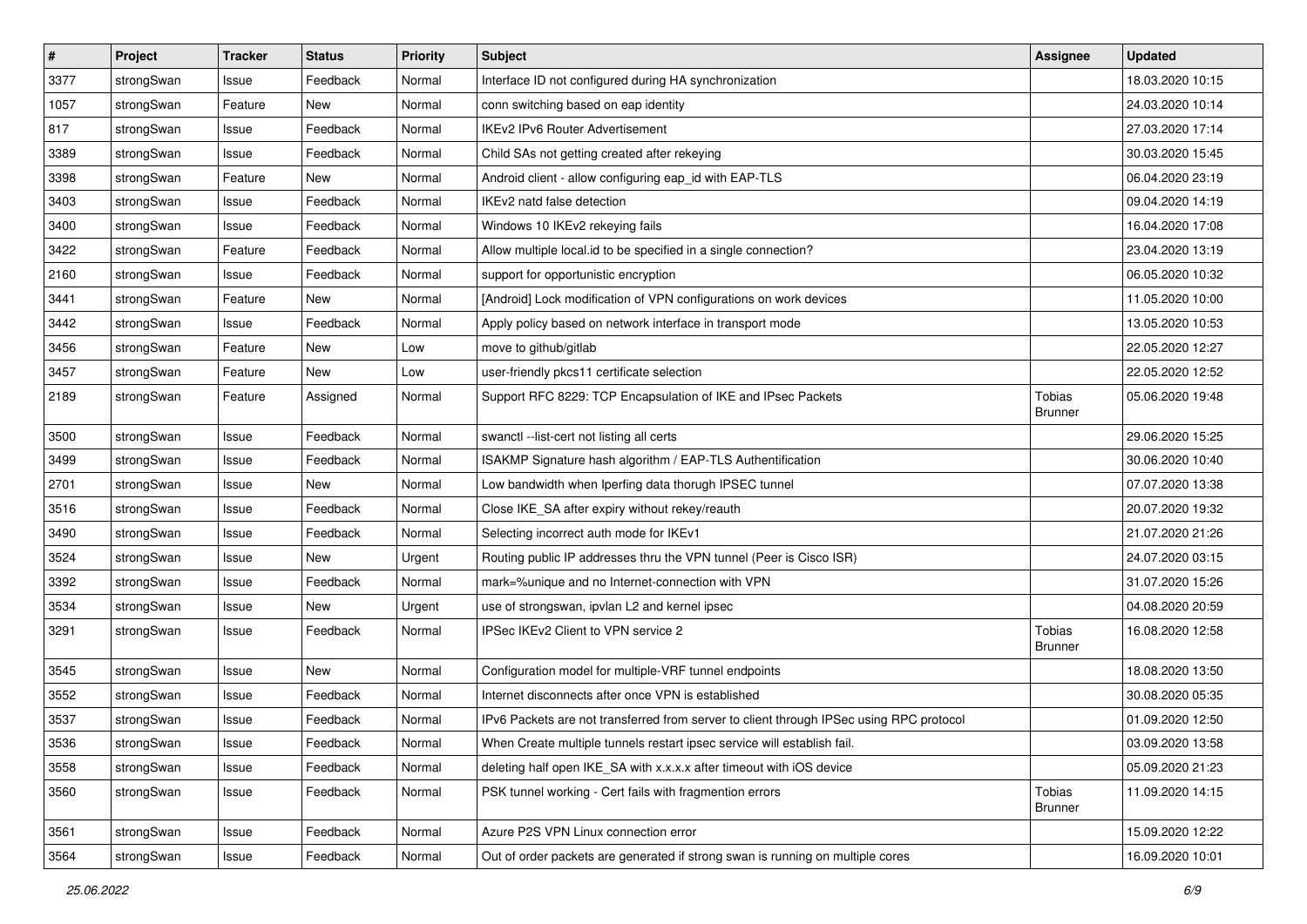| #    | Project    | <b>Tracker</b> | <b>Status</b> | <b>Priority</b> | <b>Subject</b>                                                                          | <b>Assignee</b>          | <b>Updated</b>   |
|------|------------|----------------|---------------|-----------------|-----------------------------------------------------------------------------------------|--------------------------|------------------|
| 3377 | strongSwan | Issue          | Feedback      | Normal          | Interface ID not configured during HA synchronization                                   |                          | 18.03.2020 10:15 |
| 1057 | strongSwan | Feature        | New           | Normal          | conn switching based on eap identity                                                    |                          | 24.03.2020 10:14 |
| 817  | strongSwan | Issue          | Feedback      | Normal          | <b>IKEv2 IPv6 Router Advertisement</b>                                                  |                          | 27.03.2020 17:14 |
| 3389 | strongSwan | Issue          | Feedback      | Normal          | Child SAs not getting created after rekeying                                            |                          | 30.03.2020 15:45 |
| 3398 | strongSwan | Feature        | <b>New</b>    | Normal          | Android client - allow configuring eap_id with EAP-TLS                                  |                          | 06.04.2020 23:19 |
| 3403 | strongSwan | Issue          | Feedback      | Normal          | IKEv2 natd false detection                                                              |                          | 09.04.2020 14:19 |
| 3400 | strongSwan | Issue          | Feedback      | Normal          | Windows 10 IKEv2 rekeying fails                                                         |                          | 16.04.2020 17:08 |
| 3422 | strongSwan | Feature        | Feedback      | Normal          | Allow multiple local id to be specified in a single connection?                         |                          | 23.04.2020 13:19 |
| 2160 | strongSwan | Issue          | Feedback      | Normal          | support for opportunistic encryption                                                    |                          | 06.05.2020 10:32 |
| 3441 | strongSwan | Feature        | New           | Normal          | [Android] Lock modification of VPN configurations on work devices                       |                          | 11.05.2020 10:00 |
| 3442 | strongSwan | Issue          | Feedback      | Normal          | Apply policy based on network interface in transport mode                               |                          | 13.05.2020 10:53 |
| 3456 | strongSwan | Feature        | New           | Low             | move to github/gitlab                                                                   |                          | 22.05.2020 12:27 |
| 3457 | strongSwan | Feature        | New           | Low             | user-friendly pkcs11 certificate selection                                              |                          | 22.05.2020 12:52 |
| 2189 | strongSwan | Feature        | Assigned      | Normal          | Support RFC 8229: TCP Encapsulation of IKE and IPsec Packets                            | Tobias<br><b>Brunner</b> | 05.06.2020 19:48 |
| 3500 | strongSwan | Issue          | Feedback      | Normal          | swanctl --list-cert not listing all certs                                               |                          | 29.06.2020 15:25 |
| 3499 | strongSwan | Issue          | Feedback      | Normal          | ISAKMP Signature hash algorithm / EAP-TLS Authentification                              |                          | 30.06.2020 10:40 |
| 2701 | strongSwan | Issue          | <b>New</b>    | Normal          | Low bandwidth when Iperfing data thorugh IPSEC tunnel                                   |                          | 07.07.2020 13:38 |
| 3516 | strongSwan | Issue          | Feedback      | Normal          | Close IKE_SA after expiry without rekey/reauth                                          |                          | 20.07.2020 19:32 |
| 3490 | strongSwan | Issue          | Feedback      | Normal          | Selecting incorrect auth mode for IKEv1                                                 |                          | 21.07.2020 21:26 |
| 3524 | strongSwan | Issue          | New           | Urgent          | Routing public IP addresses thru the VPN tunnel (Peer is Cisco ISR)                     |                          | 24.07.2020 03:15 |
| 3392 | strongSwan | Issue          | Feedback      | Normal          | mark=%unique and no Internet-connection with VPN                                        |                          | 31.07.2020 15:26 |
| 3534 | strongSwan | Issue          | <b>New</b>    | Urgent          | use of strongswan, ipvlan L2 and kernel ipsec                                           |                          | 04.08.2020 20:59 |
| 3291 | strongSwan | Issue          | Feedback      | Normal          | IPSec IKEv2 Client to VPN service 2                                                     | Tobias<br><b>Brunner</b> | 16.08.2020 12:58 |
| 3545 | strongSwan | Issue          | New           | Normal          | Configuration model for multiple-VRF tunnel endpoints                                   |                          | 18.08.2020 13:50 |
| 3552 | strongSwan | Issue          | Feedback      | Normal          | Internet disconnects after once VPN is established                                      |                          | 30.08.2020 05:35 |
| 3537 | strongSwan | Issue          | Feedback      | Normal          | IPv6 Packets are not transferred from server to client through IPSec using RPC protocol |                          | 01.09.2020 12:50 |
| 3536 | strongSwan | Issue          | Feedback      | Normal          | When Create multiple tunnels restart ipsec service will establish fail.                 |                          | 03.09.2020 13:58 |
| 3558 | strongSwan | Issue          | Feedback      | Normal          | deleting half open IKE_SA with x.x.x.x after timeout with iOS device                    |                          | 05.09.2020 21:23 |
| 3560 | strongSwan | Issue          | Feedback      | Normal          | PSK tunnel working - Cert fails with fragmention errors                                 | Tobias<br><b>Brunner</b> | 11.09.2020 14:15 |
| 3561 | strongSwan | Issue          | Feedback      | Normal          | Azure P2S VPN Linux connection error                                                    |                          | 15.09.2020 12:22 |
| 3564 | strongSwan | Issue          | Feedback      | Normal          | Out of order packets are generated if strong swan is running on multiple cores          |                          | 16.09.2020 10:01 |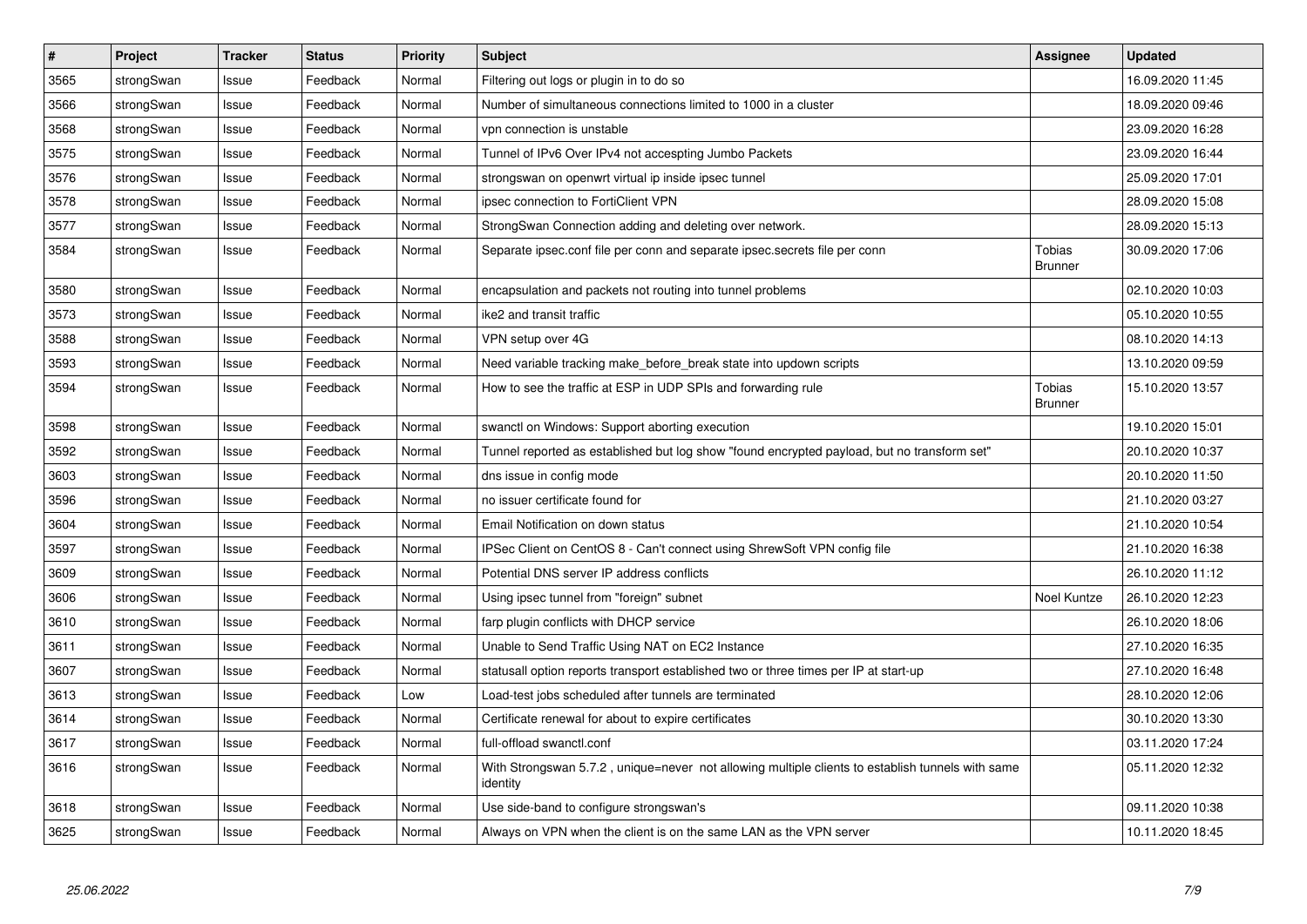| $\vert$ # | Project    | <b>Tracker</b> | <b>Status</b> | <b>Priority</b> | <b>Subject</b>                                                                                               | Assignee                 | <b>Updated</b>   |
|-----------|------------|----------------|---------------|-----------------|--------------------------------------------------------------------------------------------------------------|--------------------------|------------------|
| 3565      | strongSwan | Issue          | Feedback      | Normal          | Filtering out logs or plugin in to do so                                                                     |                          | 16.09.2020 11:45 |
| 3566      | strongSwan | Issue          | Feedback      | Normal          | Number of simultaneous connections limited to 1000 in a cluster                                              |                          | 18.09.2020 09:46 |
| 3568      | strongSwan | Issue          | Feedback      | Normal          | vpn connection is unstable                                                                                   |                          | 23.09.2020 16:28 |
| 3575      | strongSwan | Issue          | Feedback      | Normal          | Tunnel of IPv6 Over IPv4 not accespting Jumbo Packets                                                        |                          | 23.09.2020 16:44 |
| 3576      | strongSwan | Issue          | Feedback      | Normal          | strongswan on openwrt virtual ip inside ipsec tunnel                                                         |                          | 25.09.2020 17:01 |
| 3578      | strongSwan | Issue          | Feedback      | Normal          | ipsec connection to FortiClient VPN                                                                          |                          | 28.09.2020 15:08 |
| 3577      | strongSwan | Issue          | Feedback      | Normal          | StrongSwan Connection adding and deleting over network.                                                      |                          | 28.09.2020 15:13 |
| 3584      | strongSwan | Issue          | Feedback      | Normal          | Separate ipsec.conf file per conn and separate ipsec.secrets file per conn                                   | Tobias<br><b>Brunner</b> | 30.09.2020 17:06 |
| 3580      | strongSwan | Issue          | Feedback      | Normal          | encapsulation and packets not routing into tunnel problems                                                   |                          | 02.10.2020 10:03 |
| 3573      | strongSwan | Issue          | Feedback      | Normal          | ike2 and transit traffic                                                                                     |                          | 05.10.2020 10:55 |
| 3588      | strongSwan | Issue          | Feedback      | Normal          | VPN setup over 4G                                                                                            |                          | 08.10.2020 14:13 |
| 3593      | strongSwan | Issue          | Feedback      | Normal          | Need variable tracking make before break state into updown scripts                                           |                          | 13.10.2020 09:59 |
| 3594      | strongSwan | Issue          | Feedback      | Normal          | How to see the traffic at ESP in UDP SPIs and forwarding rule                                                | Tobias<br><b>Brunner</b> | 15.10.2020 13:57 |
| 3598      | strongSwan | Issue          | Feedback      | Normal          | swanctl on Windows: Support aborting execution                                                               |                          | 19.10.2020 15:01 |
| 3592      | strongSwan | Issue          | Feedback      | Normal          | Tunnel reported as established but log show "found encrypted payload, but no transform set"                  |                          | 20.10.2020 10:37 |
| 3603      | strongSwan | Issue          | Feedback      | Normal          | dns issue in config mode                                                                                     |                          | 20.10.2020 11:50 |
| 3596      | strongSwan | Issue          | Feedback      | Normal          | no issuer certificate found for                                                                              |                          | 21.10.2020 03:27 |
| 3604      | strongSwan | Issue          | Feedback      | Normal          | Email Notification on down status                                                                            |                          | 21.10.2020 10:54 |
| 3597      | strongSwan | Issue          | Feedback      | Normal          | IPSec Client on CentOS 8 - Can't connect using ShrewSoft VPN config file                                     |                          | 21.10.2020 16:38 |
| 3609      | strongSwan | Issue          | Feedback      | Normal          | Potential DNS server IP address conflicts                                                                    |                          | 26.10.2020 11:12 |
| 3606      | strongSwan | Issue          | Feedback      | Normal          | Using ipsec tunnel from "foreign" subnet                                                                     | Noel Kuntze              | 26.10.2020 12:23 |
| 3610      | strongSwan | Issue          | Feedback      | Normal          | farp plugin conflicts with DHCP service                                                                      |                          | 26.10.2020 18:06 |
| 3611      | strongSwan | Issue          | Feedback      | Normal          | Unable to Send Traffic Using NAT on EC2 Instance                                                             |                          | 27.10.2020 16:35 |
| 3607      | strongSwan | Issue          | Feedback      | Normal          | statusall option reports transport established two or three times per IP at start-up                         |                          | 27.10.2020 16:48 |
| 3613      | strongSwan | Issue          | Feedback      | Low             | Load-test jobs scheduled after tunnels are terminated                                                        |                          | 28.10.2020 12:06 |
| 3614      | strongSwan | Issue          | Feedback      | Normal          | Certificate renewal for about to expire certificates                                                         |                          | 30.10.2020 13:30 |
| 3617      | strongSwan | Issue          | Feedback      | Normal          | full-offload swanctl.conf                                                                                    |                          | 03.11.2020 17:24 |
| 3616      | strongSwan | Issue          | Feedback      | Normal          | With Strongswan 5.7.2, unique=never not allowing multiple clients to establish tunnels with same<br>identity |                          | 05.11.2020 12:32 |
| 3618      | strongSwan | Issue          | Feedback      | Normal          | Use side-band to configure strongswan's                                                                      |                          | 09.11.2020 10:38 |
| 3625      | strongSwan | Issue          | Feedback      | Normal          | Always on VPN when the client is on the same LAN as the VPN server                                           |                          | 10.11.2020 18:45 |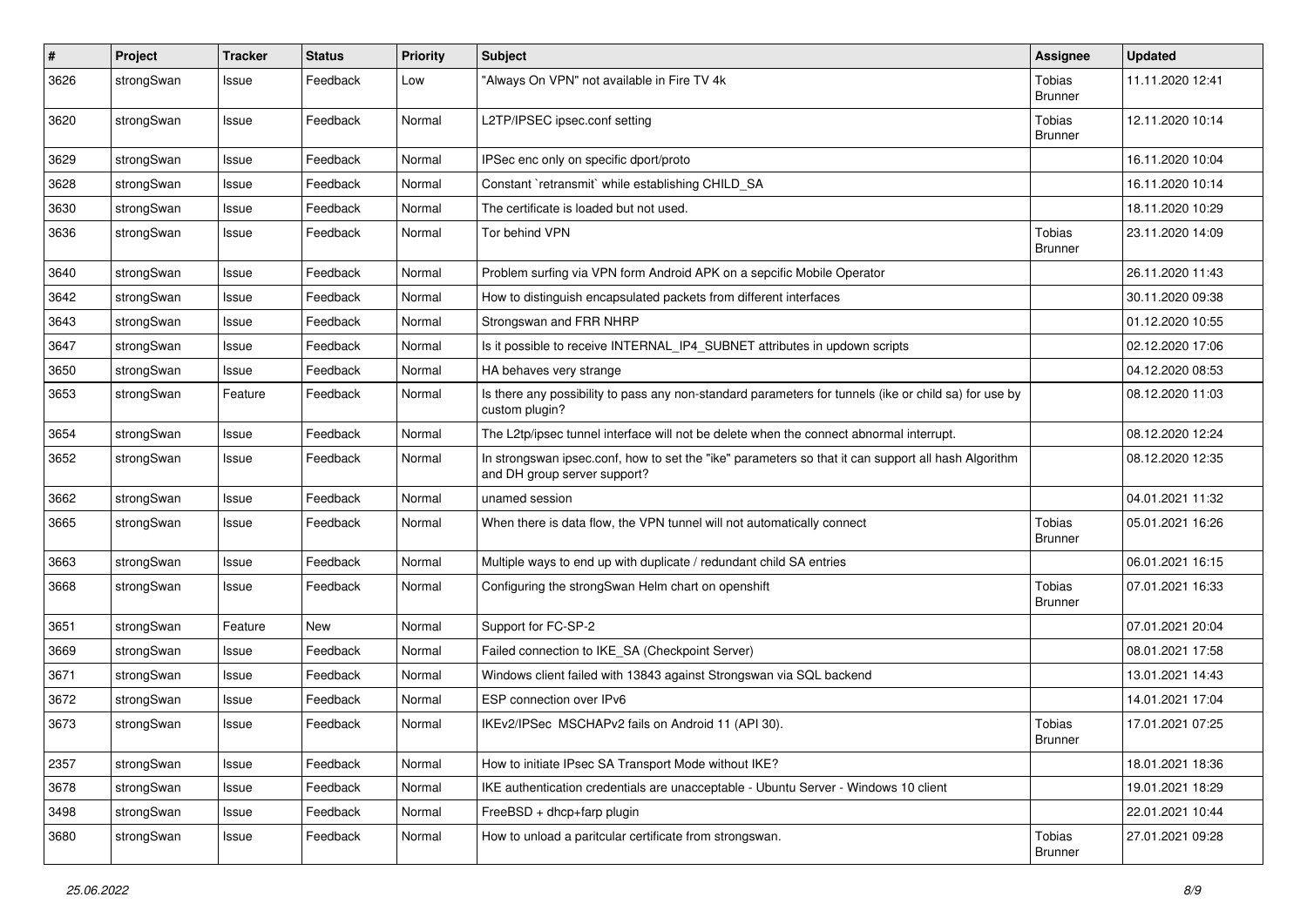| $\pmb{\#}$ | Project    | <b>Tracker</b> | <b>Status</b> | Priority | <b>Subject</b>                                                                                                                      | Assignee                 | <b>Updated</b>   |
|------------|------------|----------------|---------------|----------|-------------------------------------------------------------------------------------------------------------------------------------|--------------------------|------------------|
| 3626       | strongSwan | Issue          | Feedback      | Low      | "Always On VPN" not available in Fire TV 4k                                                                                         | Tobias<br><b>Brunner</b> | 11.11.2020 12:41 |
| 3620       | strongSwan | Issue          | Feedback      | Normal   | L2TP/IPSEC ipsec.conf setting                                                                                                       | Tobias<br><b>Brunner</b> | 12.11.2020 10:14 |
| 3629       | strongSwan | Issue          | Feedback      | Normal   | IPSec enc only on specific dport/proto                                                                                              |                          | 16.11.2020 10:04 |
| 3628       | strongSwan | Issue          | Feedback      | Normal   | Constant `retransmit` while establishing CHILD SA                                                                                   |                          | 16.11.2020 10:14 |
| 3630       | strongSwan | Issue          | Feedback      | Normal   | The certificate is loaded but not used.                                                                                             |                          | 18.11.2020 10:29 |
| 3636       | strongSwan | Issue          | Feedback      | Normal   | Tor behind VPN                                                                                                                      | Tobias<br><b>Brunner</b> | 23.11.2020 14:09 |
| 3640       | strongSwan | Issue          | Feedback      | Normal   | Problem surfing via VPN form Android APK on a sepcific Mobile Operator                                                              |                          | 26.11.2020 11:43 |
| 3642       | strongSwan | Issue          | Feedback      | Normal   | How to distinguish encapsulated packets from different interfaces                                                                   |                          | 30.11.2020 09:38 |
| 3643       | strongSwan | Issue          | Feedback      | Normal   | Strongswan and FRR NHRP                                                                                                             |                          | 01.12.2020 10:55 |
| 3647       | strongSwan | Issue          | Feedback      | Normal   | Is it possible to receive INTERNAL IP4 SUBNET attributes in updown scripts                                                          |                          | 02.12.2020 17:06 |
| 3650       | strongSwan | Issue          | Feedback      | Normal   | HA behaves very strange                                                                                                             |                          | 04.12.2020 08:53 |
| 3653       | strongSwan | Feature        | Feedback      | Normal   | Is there any possibility to pass any non-standard parameters for tunnels (ike or child sa) for use by<br>custom plugin?             |                          | 08.12.2020 11:03 |
| 3654       | strongSwan | Issue          | Feedback      | Normal   | The L2tp/ipsec tunnel interface will not be delete when the connect abnormal interrupt.                                             |                          | 08.12.2020 12:24 |
| 3652       | strongSwan | Issue          | Feedback      | Normal   | In strongswan ipsec.conf, how to set the "ike" parameters so that it can support all hash Algorithm<br>and DH group server support? |                          | 08.12.2020 12:35 |
| 3662       | strongSwan | Issue          | Feedback      | Normal   | unamed session                                                                                                                      |                          | 04.01.2021 11:32 |
| 3665       | strongSwan | Issue          | Feedback      | Normal   | When there is data flow, the VPN tunnel will not automatically connect                                                              | Tobias<br><b>Brunner</b> | 05.01.2021 16:26 |
| 3663       | strongSwan | Issue          | Feedback      | Normal   | Multiple ways to end up with duplicate / redundant child SA entries                                                                 |                          | 06.01.2021 16:15 |
| 3668       | strongSwan | Issue          | Feedback      | Normal   | Configuring the strongSwan Helm chart on openshift                                                                                  | Tobias<br><b>Brunner</b> | 07.01.2021 16:33 |
| 3651       | strongSwan | Feature        | <b>New</b>    | Normal   | Support for FC-SP-2                                                                                                                 |                          | 07.01.2021 20:04 |
| 3669       | strongSwan | Issue          | Feedback      | Normal   | Failed connection to IKE SA (Checkpoint Server)                                                                                     |                          | 08.01.2021 17:58 |
| 3671       | strongSwan | Issue          | Feedback      | Normal   | Windows client failed with 13843 against Strongswan via SQL backend                                                                 |                          | 13.01.2021 14:43 |
| 3672       | strongSwan | Issue          | Feedback      | Normal   | ESP connection over IPv6                                                                                                            |                          | 14.01.2021 17:04 |
| 3673       | strongSwan | Issue          | Feedback      | Normal   | IKEv2/IPSec MSCHAPv2 fails on Android 11 (API 30).                                                                                  | Tobias<br><b>Brunner</b> | 17.01.2021 07:25 |
| 2357       | strongSwan | Issue          | Feedback      | Normal   | How to initiate IPsec SA Transport Mode without IKE?                                                                                |                          | 18.01.2021 18:36 |
| 3678       | strongSwan | Issue          | Feedback      | Normal   | IKE authentication credentials are unacceptable - Ubuntu Server - Windows 10 client                                                 |                          | 19.01.2021 18:29 |
| 3498       | strongSwan | Issue          | Feedback      | Normal   | FreeBSD + dhcp+farp plugin                                                                                                          |                          | 22.01.2021 10:44 |
| 3680       | strongSwan | Issue          | Feedback      | Normal   | How to unload a paritcular certificate from strongswan.                                                                             | Tobias<br><b>Brunner</b> | 27.01.2021 09:28 |